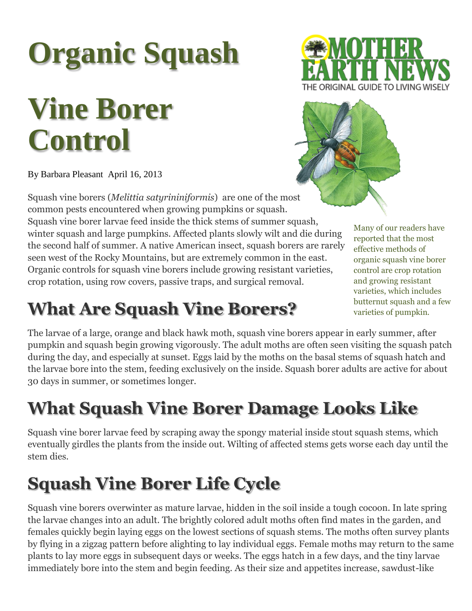# **Organic Squash**

# **Vine Borer Control**

By Barbara Pleasant April 16, 2013

Squash vine borers (*Melittia satyrininiformis*) are one of the most common pests encountered when growing pumpkins or squash. Squash vine borer larvae feed inside the thick stems of summer squash, winter squash and large pumpkins. Affected plants slowly wilt and die during the second half of summer. A native American insect, squash borers are rarely seen west of the Rocky Mountains, but are extremely common in the east. Organic controls for squash vine borers include growing resistant varieties, crop rotation, using row covers, passive traps, and surgical removal.

### **What Are Squash Vine Borers?**

The larvae of a large, orange and black hawk moth, squash vine borers appear in early summer, after pumpkin and squash begin growing vigorously. The adult moths are often seen visiting the squash patch during the day, and especially at sunset. Eggs laid by the moths on the basal stems of squash hatch and the larvae bore into the stem, feeding exclusively on the inside. Squash borer adults are active for about 30 days in summer, or sometimes longer.

## **What Squash Vine Borer Damage Looks Like**

Squash vine borer larvae feed by scraping away the spongy material inside stout squash stems, which eventually girdles the plants from the inside out. Wilting of affected stems gets worse each day until the stem dies.

# **Squash Vine Borer Life Cycle**

Squash vine borers overwinter as mature larvae, hidden in the soil inside a tough cocoon. In late spring the larvae changes into an adult. The brightly colored adult moths often find mates in the garden, and females quickly begin laying eggs on the lowest sections of squash stems. The moths often survey plants by flying in a zigzag pattern before alighting to lay individual eggs. Female moths may return to the same plants to lay more eggs in subsequent days or weeks. The eggs hatch in a few days, and the tiny larvae immediately bore into the stem and begin feeding. As their size and appetites increase, sawdust-like





Many of our readers have reported that the most effective methods of organic squash vine borer control are crop rotation and growing resistant varieties, which includes butternut squash and a few varieties of pumpkin*.*